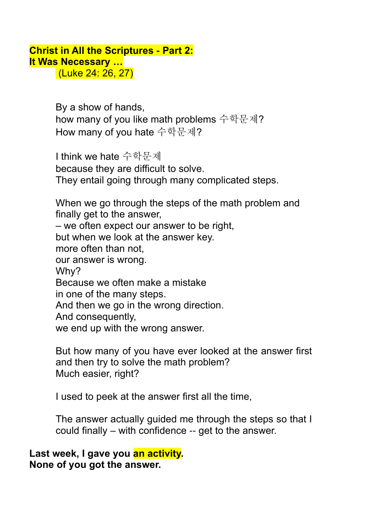## **Christ in All the Scriptures - Part 2: It Was Necessary …**

(Luke 24: 26, 27)

By a show of hands, how many of you like math problems 수학문제? How many of you hate 수학문제?

I think we hate 수학문제 because they are difficult to solve. They entail going through many complicated steps.

When we go through the steps of the math problem and finally get to the answer, – we often expect our answer to be right, but when we look at the answer key. more often than not, our answer is wrong. Why? Because we often make a mistake in one of the many steps. And then we go in the wrong direction. And consequently, we end up with the wrong answer.

But how many of you have ever looked at the answer first and then try to solve the math problem? Much easier, right?

I used to peek at the answer first all the time,

The answer actually guided me through the steps so that I could finally – with confidence -- get to the answer.

**Last week, I gave you an activity. None of you got the answer.**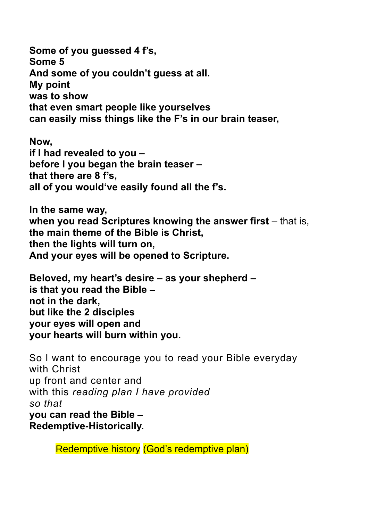**Some of you guessed 4 f's, Some 5 And some of you couldn't guess at all. My point was to show that even smart people like yourselves can easily miss things like the F's in our brain teaser,** 

**Now, if I had revealed to you – before I you began the brain teaser – that there are 8 f's, all of you would've easily found all the f's.** 

**In the same way, when you read Scriptures knowing the answer first** – that is, **the main theme of the Bible is Christ, then the lights will turn on, And your eyes will be opened to Scripture.** 

**Beloved, my heart's desire – as your shepherd – is that you read the Bible – not in the dark, but like the 2 disciples your eyes will open and your hearts will burn within you.** 

So I want to encourage you to read your Bible everyday with Christ up front and center and with this *reading plan I have provided so that*  **you can read the Bible – Redemptive-Historically.** 

Redemptive history (God's redemptive plan)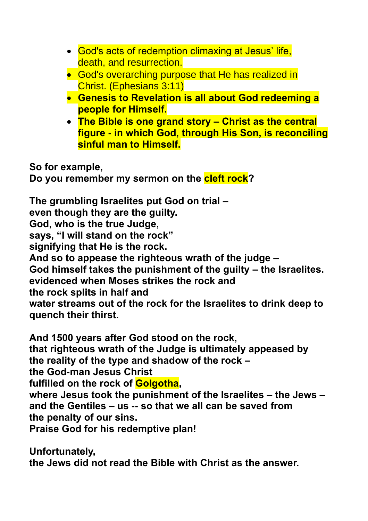- God's acts of redemption climaxing at Jesus' life, death, and resurrection.
- God's overarching purpose that He has realized in Christ. (Ephesians 3:11)
- **Genesis to Revelation is all about God redeeming a people for Himself.**
- **The Bible is one grand story – Christ as the central figure - in which God, through His Son, is reconciling sinful man to Himself.**

**So for example, Do you remember my sermon on the cleft rock?**

**The grumbling Israelites put God on trial – even though they are the guilty. God, who is the true Judge, says, "I will stand on the rock" signifying that He is the rock. And so to appease the righteous wrath of the judge – God himself takes the punishment of the guilty – the Israelites. evidenced when Moses strikes the rock and the rock splits in half and water streams out of the rock for the Israelites to drink deep to quench their thirst.** 

**And 1500 years after God stood on the rock,** 

**that righteous wrath of the Judge is ultimately appeased by the reality of the type and shadow of the rock –**

**the God-man Jesus Christ** 

**fulfilled on the rock of Golgotha,** 

**where Jesus took the punishment of the Israelites – the Jews – and the Gentiles – us -- so that we all can be saved from the penalty of our sins.**

**Praise God for his redemptive plan!**

**Unfortunately, the Jews did not read the Bible with Christ as the answer.**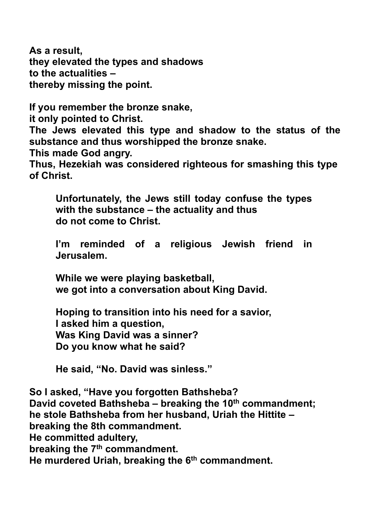**As a result, they elevated the types and shadows to the actualities – thereby missing the point.** 

**If you remember the bronze snake,**

**it only pointed to Christ.** 

**The Jews elevated this type and shadow to the status of the substance and thus worshipped the bronze snake.**

**This made God angry.** 

**Thus, Hezekiah was considered righteous for smashing this type of Christ.** 

**Unfortunately, the Jews still today confuse the types with the substance – the actuality and thus do not come to Christ.** 

**I'm reminded of a religious Jewish friend in Jerusalem.**

**While we were playing basketball, we got into a conversation about King David.**

**Hoping to transition into his need for a savior, I asked him a question, Was King David was a sinner? Do you know what he said?** 

**He said, "No. David was sinless."** 

**So I asked, "Have you forgotten Bathsheba? David coveted Bathsheba – breaking the 10th commandment; he stole Bathsheba from her husband, Uriah the Hittite – breaking the 8th commandment. He committed adultery, breaking the 7th commandment. He murdered Uriah, breaking the 6th commandment.**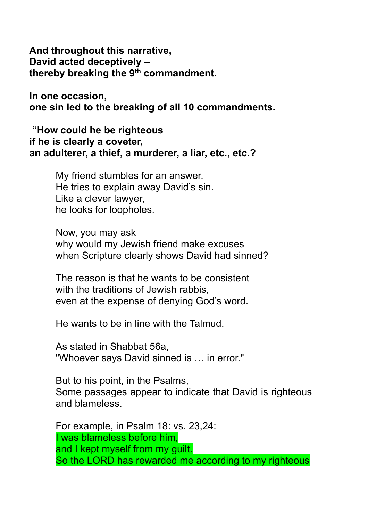**And throughout this narrative, David acted deceptively – thereby breaking the 9th commandment.**

**In one occasion, one sin led to the breaking of all 10 commandments.** 

**"How could he be righteous if he is clearly a coveter, an adulterer, a thief, a murderer, a liar, etc., etc.?** 

> My friend stumbles for an answer. He tries to explain away David's sin. Like a clever lawyer, he looks for loopholes.

Now, you may ask why would my Jewish friend make excuses when Scripture clearly shows David had sinned?

The reason is that he wants to be consistent with the traditions of Jewish rabbis. even at the expense of denying God's word.

He wants to be in line with the Talmud.

As stated in Shabbat 56a, "Whoever says David sinned is … in error."

But to his point, in the Psalms, Some passages appear to indicate that David is righteous and blameless.

For example, in Psalm 18: vs. 23,24: I was blameless before him, and I kept myself from my guilt. So the LORD has rewarded me according to my righteous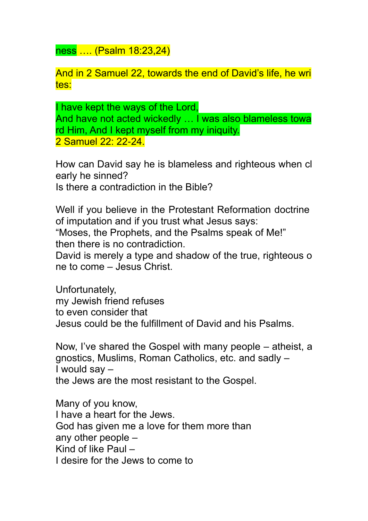ness …. (Psalm 18:23,24)

And in 2 Samuel 22, towards the end of David's life, he wri tes:

I have kept the ways of the Lord, And have not acted wickedly ... I was also blameless towa rd Him, And I kept myself from my iniquity. 2 Samuel 22: 22-24.

How can David say he is blameless and righteous when cl early he sinned? Is there a contradiction in the Bible?

Well if you believe in the Protestant Reformation doctrine of imputation and if you trust what Jesus says:

"Moses, the Prophets, and the Psalms speak of Me!" then there is no contradiction.

David is merely a type and shadow of the true, righteous o ne to come – Jesus Christ.

Unfortunately, my Jewish friend refuses to even consider that Jesus could be the fulfillment of David and his Psalms.

Now, I've shared the Gospel with many people – atheist, a gnostics, Muslims, Roman Catholics, etc. and sadly – I would say – the Jews are the most resistant to the Gospel.

Many of you know, I have a heart for the Jews. God has given me a love for them more than any other people – Kind of like Paul – I desire for the Jews to come to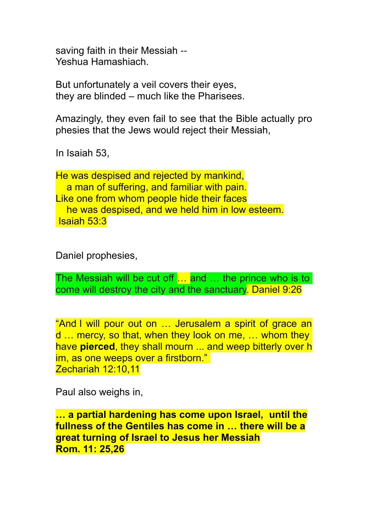saving faith in their Messiah -- Yeshua Hamashiach.

But unfortunately a veil covers their eyes, they are blinded – much like the Pharisees.

Amazingly, they even fail to see that the Bible actually pro phesies that the Jews would reject their Messiah,

In Isaiah 53,

He was despised and rejected by mankind, a man of suffering, and familiar with pain. Like one from whom people hide their faces he was despised, and we held him in low esteem. Isaiah 53:3

Daniel prophesies,

The Messiah will be cut off … and … the prince who is to come will destroy the city and the sanctuary. Daniel 9:26

"And I will pour out on … Jerusalem a spirit of grace an d … mercy, so that, when they look on me, … whom they have **pierced**, they shall mourn ... and weep bitterly over h im, as one weeps over a firstborn." Zechariah 12:10,11

Paul also weighs in,

**… a partial hardening has come upon Israel, until the fullness of the Gentiles has come in … there will be a great turning of Israel to Jesus her Messiah Rom. 11: 25,26**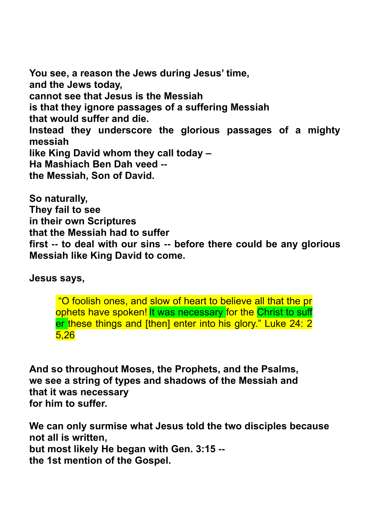**You see, a reason the Jews during Jesus' time, and the Jews today, cannot see that Jesus is the Messiah is that they ignore passages of a suffering Messiah that would suffer and die. Instead they underscore the glorious passages of a mighty messiah like King David whom they call today – Ha Mashiach Ben Dah veed - the Messiah, Son of David.** 

**So naturally, They fail to see in their own Scriptures that the Messiah had to suffer first -- to deal with our sins -- before there could be any glorious Messiah like King David to come.** 

**Jesus says,** 

"O foolish ones, and slow of heart to believe all that the pr ophets have spoken! It was necessary for the Christ to suff er these things and [then] enter into his glory." Luke 24: 2 5,26

**And so throughout Moses, the Prophets, and the Psalms, we see a string of types and shadows of the Messiah and that it was necessary for him to suffer.** 

**We can only surmise what Jesus told the two disciples because not all is written, but most likely He began with Gen. 3:15 - the 1st mention of the Gospel.**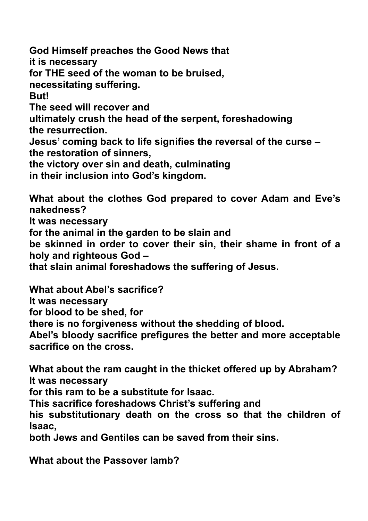**God Himself preaches the Good News that it is necessary for THE seed of the woman to be bruised, necessitating suffering. But! The seed will recover and ultimately crush the head of the serpent, foreshadowing the resurrection. Jesus' coming back to life signifies the reversal of the curse – the restoration of sinners, the victory over sin and death, culminating in their inclusion into God's kingdom. What about the clothes God prepared to cover Adam and Eve's** 

**nakedness? It was necessary for the animal in the garden to be slain and be skinned in order to cover their sin, their shame in front of a holy and righteous God –**

**that slain animal foreshadows the suffering of Jesus.** 

**What about Abel's sacrifice? It was necessary for blood to be shed, for there is no forgiveness without the shedding of blood. Abel's bloody sacrifice prefigures the better and more acceptable sacrifice on the cross.** 

**What about the ram caught in the thicket offered up by Abraham? It was necessary** 

**for this ram to be a substitute for Isaac.** 

**This sacrifice foreshadows Christ's suffering and** 

**his substitutionary death on the cross so that the children of Isaac,** 

**both Jews and Gentiles can be saved from their sins.** 

**What about the Passover lamb?**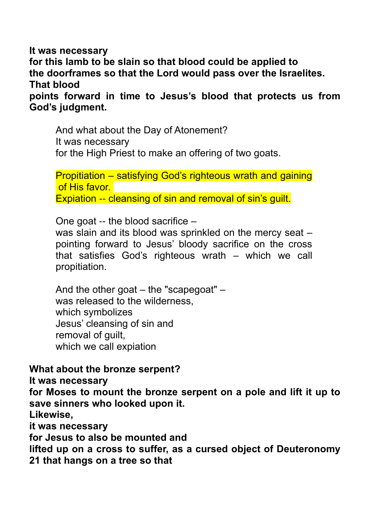**It was necessary for this lamb to be slain so that blood could be applied to the doorframes so that the Lord would pass over the Israelites. That blood points forward in time to Jesus's blood that protects us from God's judgment.** 

And what about the Day of Atonement? It was necessary for the High Priest to make an offering of two goats.

Propitiation – satisfying God's righteous wrath and gaining of His favor. Expiation -- cleansing of sin and removal of sin's guilt.

One goat -- the blood sacrifice –

was slain and its blood was sprinkled on the mercy seat – pointing forward to Jesus' bloody sacrifice on the cross that satisfies God's righteous wrath – which we call propitiation.

And the other goat – the "scapegoat" – was released to the wilderness, which symbolizes Jesus' cleansing of sin and removal of guilt, which we call expiation

## **What about the bronze serpent?**

**It was necessary** 

**for Moses to mount the bronze serpent on a pole and lift it up to save sinners who looked upon it.** 

**Likewise,** 

**it was necessary** 

**for Jesus to also be mounted and** 

**lifted up on a cross to suffer, as a cursed object of Deuteronomy 21 that hangs on a tree so that**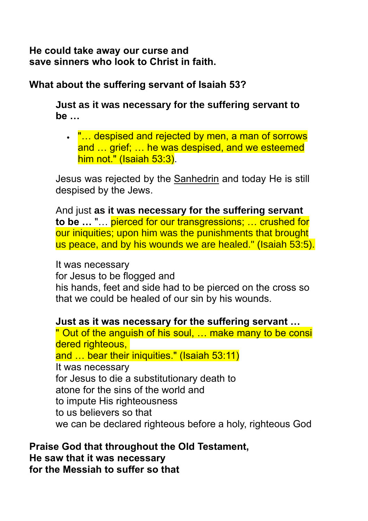**He could take away our curse and save sinners who look to Christ in faith.** 

## **What about the suffering servant of Isaiah 53?**

**Just as it was necessary for the suffering servant to be …** 

• "... despised and rejected by men, a man of sorrows and … grief; … he was despised, and we esteemed him not." (Isaiah 53:3).

Jesus was rejected by the [Sanhedrin](https://www.learnreligions.com/what-was-the-sanhedrin-700696) and today He is still despised by the Jews.

And just **as it was necessary for the suffering servant to be …** "… pierced for our transgressions; … crushed for our iniquities; upon him was the punishments that brought us peace, and by his wounds we are healed." (Isaiah 53:5).

It was necessary

for Jesus to be flogged and

his hands, feet and side had to be pierced on the cross so that we could be healed of our sin by his wounds.

**Just as it was necessary for the suffering servant …** 

" Out of the anguish of his soul, … make many to be consi dered righteous, and … bear their iniquities." (Isaiah 53:11) It was necessary for Jesus to die a substitutionary death to atone for the sins of the world and to impute His righteousness to us believers so that we can be declared righteous before a holy, righteous God

**Praise God that throughout the Old Testament, He saw that it was necessary for the Messiah to suffer so that**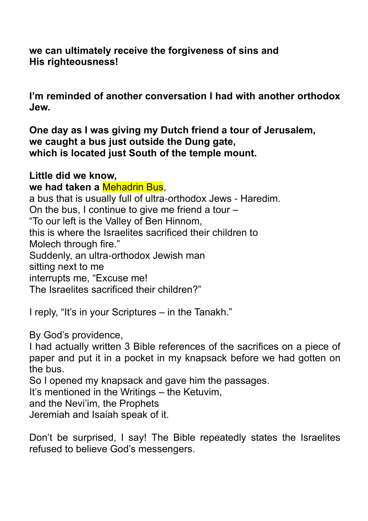**we can ultimately receive the forgiveness of sins and His righteousness!** 

**I'm reminded of another conversation I had with another orthodox Jew.** 

**One day as I was giving my Dutch friend a tour of Jerusalem, we caught a bus just outside the Dung gate, which is located just South of the temple mount.**

**Little did we know, we had taken a** Mehadrin Bus, a bus that is usually full of ultra-orthodox Jews - Haredim. On the bus, I continue to give me friend a tour – "To our left is the Valley of Ben Hinnom, this is where the Israelites sacrificed their children to Molech through fire." Suddenly, an ultra-orthodox Jewish man sitting next to me interrupts me, "Excuse me! The Israelites sacrificed their children?"

I reply, "It's in your Scriptures – in the Tanakh."

By God's providence,

I had actually written 3 Bible references of the sacrifices on a piece of paper and put it in a pocket in my knapsack before we had gotten on the bus.

So I opened my knapsack and gave him the passages.

It's mentioned in the Writings – the Ketuvim,

and the Nevi'im, the Prophets

Jeremiah and Isaiah speak of it.

Don't be surprised, I say! The Bible repeatedly states the Israelites refused to believe God's messengers.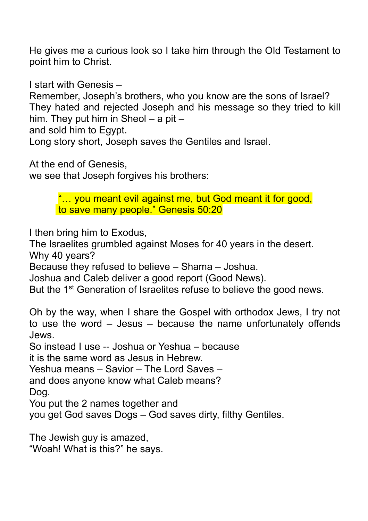He gives me a curious look so I take him through the Old Testament to point him to Christ.

I start with Genesis –

Remember, Joseph's brothers, who you know are the sons of Israel? They hated and rejected Joseph and his message so they tried to kill him. They put him in Sheol  $-$  a pit  $-$ 

and sold him to Egypt.

Long story short, Joseph saves the Gentiles and Israel.

At the end of Genesis,

we see that Joseph forgives his brothers:

"… you meant evil against me, but God meant it for good, to save many people." Genesis 50:20

I then bring him to Exodus,

The Israelites grumbled against Moses for 40 years in the desert. Why 40 years?

Because they refused to believe – Shama – Joshua.

Joshua and Caleb deliver a good report (Good News).

But the 1<sup>st</sup> Generation of Israelites refuse to believe the good news.

Oh by the way, when I share the Gospel with orthodox Jews, I try not to use the word – Jesus – because the name unfortunately offends Jews.

So instead I use -- Joshua or Yeshua – because

it is the same word as Jesus in Hebrew.

Yeshua means – Savior – The Lord Saves –

and does anyone know what Caleb means?

Dog.

You put the 2 names together and

you get God saves Dogs – God saves dirty, filthy Gentiles.

The Jewish guy is amazed, "Woah! What is this?" he says.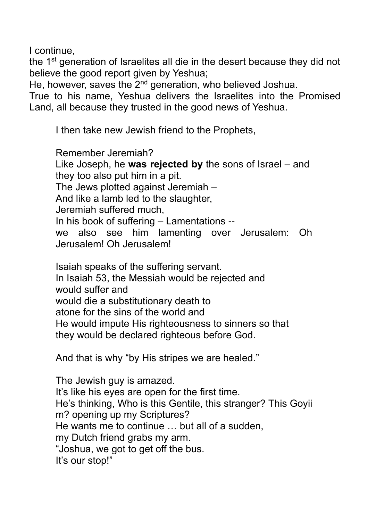I continue,

the 1<sup>st</sup> generation of Israelites all die in the desert because they did not believe the good report given by Yeshua;

He, however, saves the 2<sup>nd</sup> generation, who believed Joshua.

True to his name, Yeshua delivers the Israelites into the Promised Land, all because they trusted in the good news of Yeshua.

I then take new Jewish friend to the Prophets,

Remember Jeremiah? Like Joseph, he **was rejected by** the sons of Israel – and they too also put him in a pit. The Jews plotted against Jeremiah – And like a lamb led to the slaughter, Jeremiah suffered much, In his book of suffering – Lamentations - we also see him lamenting over Jerusalem: Oh Jerusalem! Oh Jerusalem!

Isaiah speaks of the suffering servant. In Isaiah 53, the Messiah would be rejected and would suffer and would die a substitutionary death to atone for the sins of the world and He would impute His righteousness to sinners so that they would be declared righteous before God.

And that is why "by His stripes we are healed."

The Jewish guy is amazed. It's like his eyes are open for the first time. He's thinking, Who is this Gentile, this stranger? This Goyii m? opening up my Scriptures? He wants me to continue … but all of a sudden, my Dutch friend grabs my arm. "Joshua, we got to get off the bus. It's our stop!"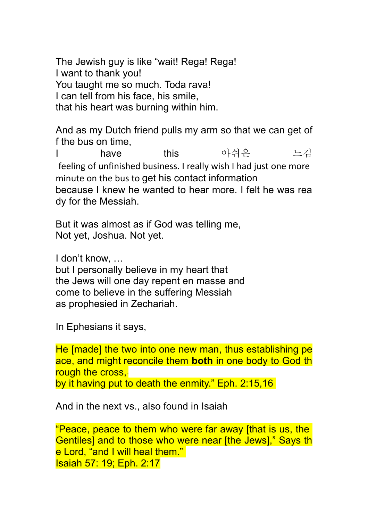The Jewish guy is like "wait! Rega! Rega! I want to thank you! You taught me so much. Toda rava! I can tell from his face, his smile, that his heart was burning within him.

And as my Dutch friend pulls my arm so that we can get of f the bus on time,

I have this 아쉬은 느김 feeling of unfinished business. I really wish I had just one more minute on the bus to get his contact information because I knew he wanted to hear more. I felt he was rea dy for the Messiah.

But it was almost as if God was telling me, Not yet, Joshua. Not yet.

I don't know, …

but I personally believe in my heart that the Jews will one day repent en masse and come to believe in the suffering Messiah as prophesied in Zechariah.

In Ephesians it says,

He [made] the two into one new man, thus establishing pe ace, and might reconcile them **both** in one body to God th rough the cross,

by it having put to death the enmity." Eph. 2:15,16

And in the next vs., also found in Isaiah

"Peace, peace to them who were far away [that is us, the Gentiles] and to those who were near [the Jews]," Says th e Lord, "and I will heal them." Isaiah 57: 19; Eph. 2:17